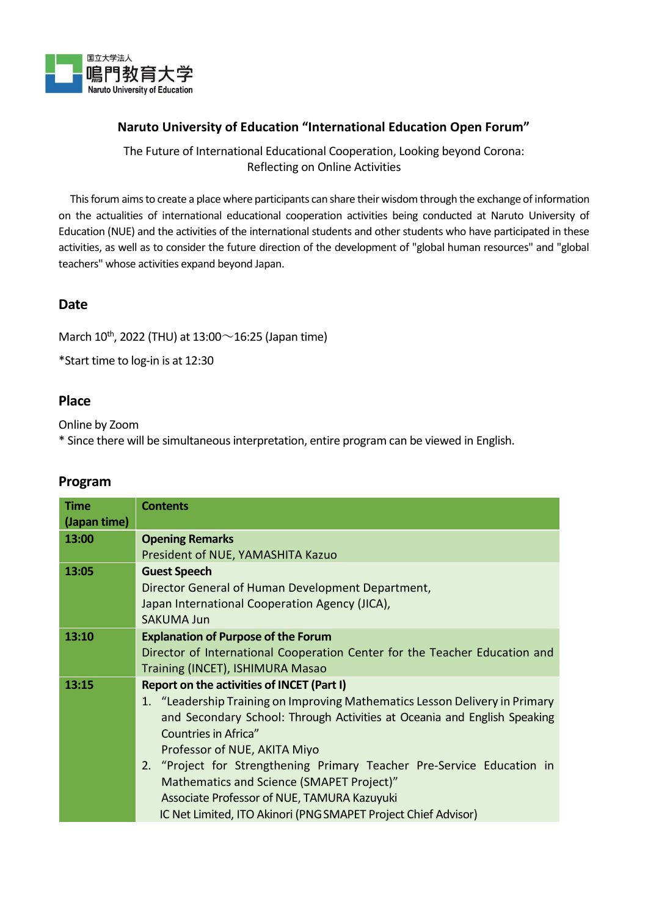

### **Naruto University of Education "International Education Open Forum"**

The Future of International Educational Cooperation, Looking beyond Corona: Reflecting on Online Activities

This forum aims to create a place where participants can share their wisdom through the exchange of information on the actualities of international educational cooperation activities being conducted at Naruto University of Education (NUE) and the activities of the international students and other students who have participated in these activities, as well as to consider the future direction of the development of "global human resources" and "global teachers" whose activities expand beyond Japan.

## **Date**

March  $10^{th}$ , 2022 (THU) at 13:00 $\sim$ 16:25 (Japan time)

\*Start time to log-in is at 12:30

#### **Place**

Online by Zoom

\* Since there will be simultaneousinterpretation, entire program can be viewed in English.

| Time         | <b>Contents</b>                                                             |
|--------------|-----------------------------------------------------------------------------|
|              |                                                                             |
| (Japan time) |                                                                             |
| 13:00        | <b>Opening Remarks</b>                                                      |
|              | President of NUE, YAMASHITA Kazuo                                           |
| 13:05        | <b>Guest Speech</b>                                                         |
|              | Director General of Human Development Department,                           |
|              | Japan International Cooperation Agency (JICA),                              |
|              | <b>SAKUMA Jun</b>                                                           |
| 13:10        | <b>Explanation of Purpose of the Forum</b>                                  |
|              | Director of International Cooperation Center for the Teacher Education and  |
|              | Training (INCET), ISHIMURA Masao                                            |
| 13:15        | Report on the activities of INCET (Part I)                                  |
|              | 1. "Leadership Training on Improving Mathematics Lesson Delivery in Primary |
|              | and Secondary School: Through Activities at Oceania and English Speaking    |
|              | Countries in Africa"                                                        |
|              | Professor of NUE, AKITA Miyo                                                |
|              | 2. "Project for Strengthening Primary Teacher Pre-Service Education in      |
|              | Mathematics and Science (SMAPET Project)"                                   |
|              | Associate Professor of NUE, TAMURA Kazuyuki                                 |
|              | IC Net Limited, ITO Akinori (PNG SMAPET Project Chief Advisor)              |
|              |                                                                             |